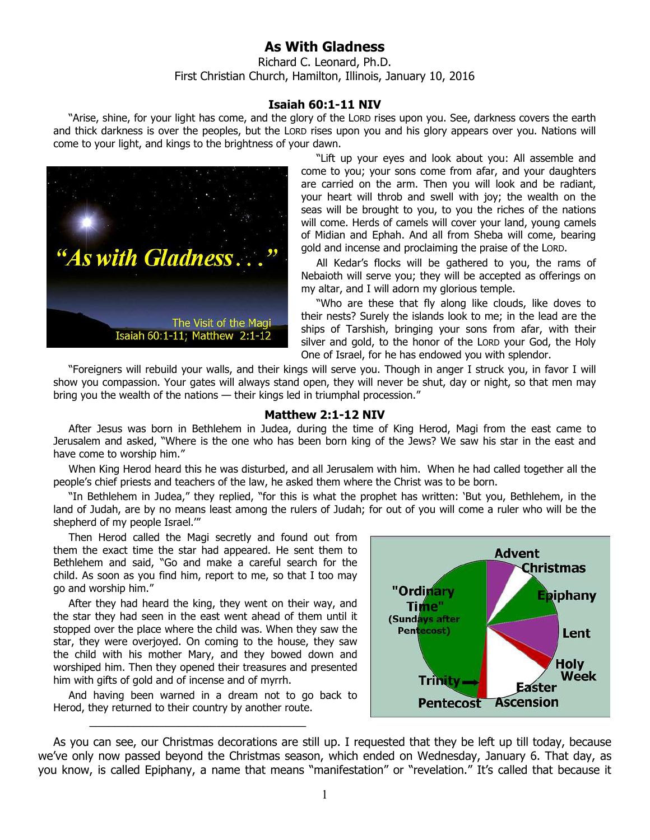## **As With Gladness**

Richard C. Leonard, Ph.D. First Christian Church, Hamilton, Illinois, January 10, 2016

## **Isaiah 60:1-11 NIV**

"Arise, shine, for your light has come, and the glory of the LORD rises upon you. See, darkness covers the earth and thick darkness is over the peoples, but the LORD rises upon you and his glory appears over you. Nations will come to your light, and kings to the brightness of your dawn.



"Lift up your eyes and look about you: All assemble and come to you; your sons come from afar, and your daughters are carried on the arm. Then you will look and be radiant, your heart will throb and swell with joy; the wealth on the seas will be brought to you, to you the riches of the nations will come. Herds of camels will cover your land, young camels of Midian and Ephah. And all from Sheba will come, bearing gold and incense and proclaiming the praise of the LORD.

All Kedar's flocks will be gathered to you, the rams of Nebaioth will serve you; they will be accepted as offerings on my altar, and I will adorn my glorious temple.

"Who are these that fly along like clouds, like doves to their nests? Surely the islands look to me; in the lead are the ships of Tarshish, bringing your sons from afar, with their silver and gold, to the honor of the LORD your God, the Holy One of Israel, for he has endowed you with splendor.

"Foreigners will rebuild your walls, and their kings will serve you. Though in anger I struck you, in favor I will show you compassion. Your gates will always stand open, they will never be shut, day or night, so that men may bring you the wealth of the nations — their kings led in triumphal procession."

## **Matthew 2:1-12 NIV**

After Jesus was born in Bethlehem in Judea, during the time of King Herod, Magi from the east came to Jerusalem and asked, "Where is the one who has been born king of the Jews? We saw his star in the east and have come to worship him."

When King Herod heard this he was disturbed, and all Jerusalem with him. When he had called together all the people's chief priests and teachers of the law, he asked them where the Christ was to be born.

"In Bethlehem in Judea," they replied, "for this is what the prophet has written: 'But you, Bethlehem, in the land of Judah, are by no means least among the rulers of Judah; for out of you will come a ruler who will be the shepherd of my people Israel.'"

Then Herod called the Magi secretly and found out from them the exact time the star had appeared. He sent them to Bethlehem and said, "Go and make a careful search for the child. As soon as you find him, report to me, so that I too may go and worship him."

After they had heard the king, they went on their way, and the star they had seen in the east went ahead of them until it stopped over the place where the child was. When they saw the star, they were overjoyed. On coming to the house, they saw the child with his mother Mary, and they bowed down and worshiped him. Then they opened their treasures and presented him with gifts of gold and of incense and of myrrh.

And having been warned in a dream not to go back to Herod, they returned to their country by another route.

\_\_\_\_\_\_\_\_\_\_\_\_\_\_\_\_\_\_\_\_\_\_\_\_\_\_\_\_\_\_\_\_\_\_



As you can see, our Christmas decorations are still up. I requested that they be left up till today, because we've only now passed beyond the Christmas season, which ended on Wednesday, January 6. That day, as you know, is called Epiphany, a name that means "manifestation" or "revelation." It's called that because it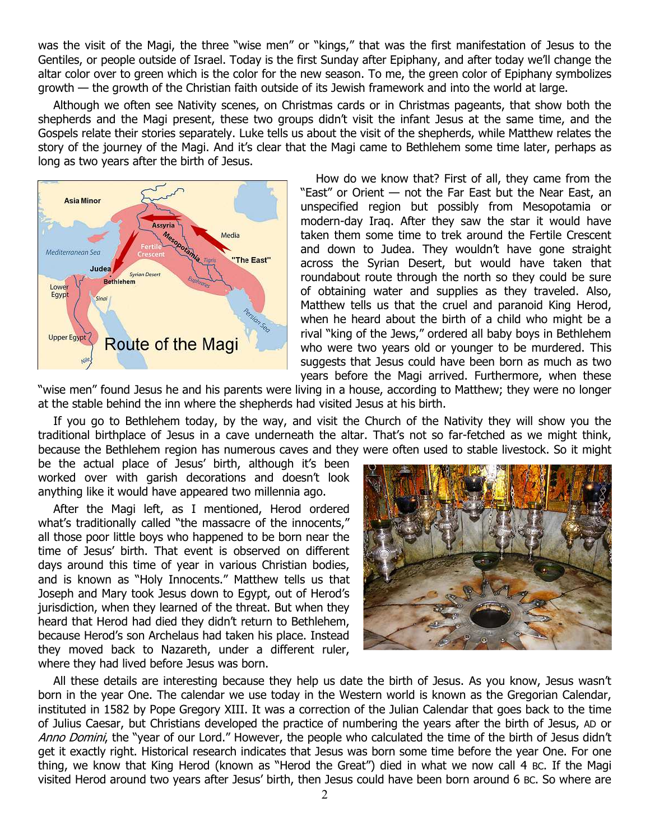was the visit of the Magi, the three "wise men" or "kings," that was the first manifestation of Jesus to the Gentiles, or people outside of Israel. Today is the first Sunday after Epiphany, and after today we'll change the altar color over to green which is the color for the new season. To me, the green color of Epiphany symbolizes growth — the growth of the Christian faith outside of its Jewish framework and into the world at large.

Although we often see Nativity scenes, on Christmas cards or in Christmas pageants, that show both the shepherds and the Magi present, these two groups didn't visit the infant Jesus at the same time, and the Gospels relate their stories separately. Luke tells us about the visit of the shepherds, while Matthew relates the story of the journey of the Magi. And it's clear that the Magi came to Bethlehem some time later, perhaps as long as two years after the birth of Jesus.



How do we know that? First of all, they came from the "East" or Orient — not the Far East but the Near East, an unspecified region but possibly from Mesopotamia or modern-day Iraq. After they saw the star it would have taken them some time to trek around the Fertile Crescent and down to Judea. They wouldn't have gone straight across the Syrian Desert, but would have taken that roundabout route through the north so they could be sure of obtaining water and supplies as they traveled. Also, Matthew tells us that the cruel and paranoid King Herod, when he heard about the birth of a child who might be a rival "king of the Jews," ordered all baby boys in Bethlehem who were two years old or younger to be murdered. This suggests that Jesus could have been born as much as two years before the Magi arrived. Furthermore, when these

"wise men" found Jesus he and his parents were living in a house, according to Matthew; they were no longer at the stable behind the inn where the shepherds had visited Jesus at his birth.

If you go to Bethlehem today, by the way, and visit the Church of the Nativity they will show you the traditional birthplace of Jesus in a cave underneath the altar. That's not so far-fetched as we might think, because the Bethlehem region has numerous caves and they were often used to stable livestock. So it might

be the actual place of Jesus' birth, although it's been worked over with garish decorations and doesn't look anything like it would have appeared two millennia ago.

After the Magi left, as I mentioned, Herod ordered what's traditionally called "the massacre of the innocents," all those poor little boys who happened to be born near the time of Jesus' birth. That event is observed on different days around this time of year in various Christian bodies, and is known as "Holy Innocents." Matthew tells us that Joseph and Mary took Jesus down to Egypt, out of Herod's jurisdiction, when they learned of the threat. But when they heard that Herod had died they didn't return to Bethlehem, because Herod's son Archelaus had taken his place. Instead they moved back to Nazareth, under a different ruler, where they had lived before Jesus was born.



All these details are interesting because they help us date the birth of Jesus. As you know, Jesus wasn't born in the year One. The calendar we use today in the Western world is known as the Gregorian Calendar, instituted in 1582 by Pope Gregory XIII. It was a correction of the Julian Calendar that goes back to the time of Julius Caesar, but Christians developed the practice of numbering the years after the birth of Jesus, AD or Anno Domini, the "year of our Lord." However, the people who calculated the time of the birth of Jesus didn't get it exactly right. Historical research indicates that Jesus was born some time before the year One. For one thing, we know that King Herod (known as "Herod the Great") died in what we now call 4 BC. If the Magi visited Herod around two years after Jesus' birth, then Jesus could have been born around 6 BC. So where are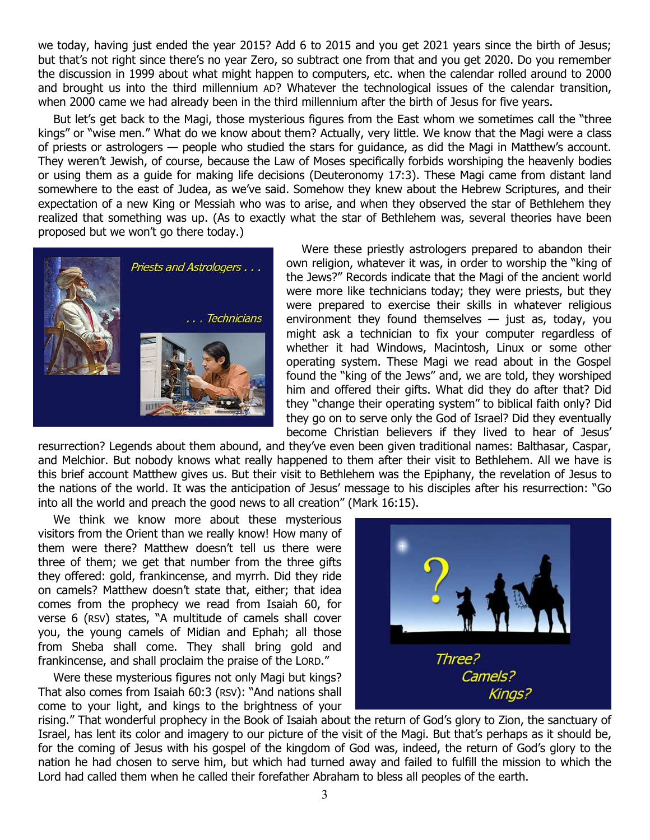we today, having just ended the year 2015? Add 6 to 2015 and you get 2021 years since the birth of Jesus; but that's not right since there's no year Zero, so subtract one from that and you get 2020. Do you remember the discussion in 1999 about what might happen to computers, etc. when the calendar rolled around to 2000 and brought us into the third millennium AD? Whatever the technological issues of the calendar transition, when 2000 came we had already been in the third millennium after the birth of Jesus for five years.

But let's get back to the Magi, those mysterious figures from the East whom we sometimes call the "three kings" or "wise men." What do we know about them? Actually, very little. We know that the Magi were a class of priests or astrologers — people who studied the stars for guidance, as did the Magi in Matthew's account. They weren't Jewish, of course, because the Law of Moses specifically forbids worshiping the heavenly bodies or using them as a guide for making life decisions (Deuteronomy 17:3). These Magi came from distant land somewhere to the east of Judea, as we've said. Somehow they knew about the Hebrew Scriptures, and their expectation of a new King or Messiah who was to arise, and when they observed the star of Bethlehem they realized that something was up. (As to exactly what the star of Bethlehem was, several theories have been proposed but we won't go there today.)



Were these priestly astrologers prepared to abandon their own religion, whatever it was, in order to worship the "king of the Jews?" Records indicate that the Magi of the ancient world were more like technicians today; they were priests, but they were prepared to exercise their skills in whatever religious environment they found themselves  $-$  just as, today, you might ask a technician to fix your computer regardless of whether it had Windows, Macintosh, Linux or some other operating system. These Magi we read about in the Gospel found the "king of the Jews" and, we are told, they worshiped him and offered their gifts. What did they do after that? Did they "change their operating system" to biblical faith only? Did they go on to serve only the God of Israel? Did they eventually become Christian believers if they lived to hear of Jesus'

resurrection? Legends about them abound, and they've even been given traditional names: Balthasar, Caspar, and Melchior. But nobody knows what really happened to them after their visit to Bethlehem. All we have is this brief account Matthew gives us. But their visit to Bethlehem was the Epiphany, the revelation of Jesus to the nations of the world. It was the anticipation of Jesus' message to his disciples after his resurrection: "Go into all the world and preach the good news to all creation" (Mark 16:15).

We think we know more about these mysterious visitors from the Orient than we really know! How many of them were there? Matthew doesn't tell us there were three of them; we get that number from the three gifts they offered: gold, frankincense, and myrrh. Did they ride on camels? Matthew doesn't state that, either; that idea comes from the prophecy we read from Isaiah 60, for verse 6 (RSV) states, "A multitude of camels shall cover you, the young camels of Midian and Ephah; all those from Sheba shall come. They shall bring gold and frankincense, and shall proclaim the praise of the LORD."

Were these mysterious figures not only Magi but kings? That also comes from Isaiah 60:3 (RSV): "And nations shall come to your light, and kings to the brightness of your



rising." That wonderful prophecy in the Book of Isaiah about the return of God's glory to Zion, the sanctuary of Israel, has lent its color and imagery to our picture of the visit of the Magi. But that's perhaps as it should be, for the coming of Jesus with his gospel of the kingdom of God was, indeed, the return of God's glory to the nation he had chosen to serve him, but which had turned away and failed to fulfill the mission to which the Lord had called them when he called their forefather Abraham to bless all peoples of the earth.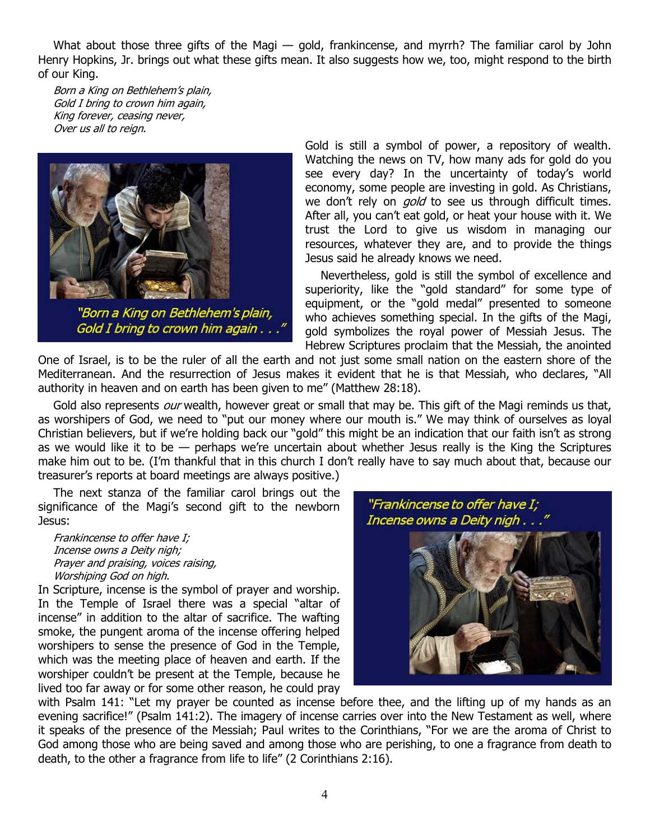What about those three gifts of the Magi — gold, frankincense, and myrrh? The familiar carol by John Henry Hopkins, Jr. brings out what these gifts mean. It also suggests how we, too, might respond to the birth of our King.

Born a King on Bethlehem's plain, Gold I bring to crown him again, King forever, ceasing never, Over us all to reign.



"Born a King on Bethlehem's plain, Gold I bring to crown him again . . . "

Gold is still a symbol of power, a repository of wealth. Watching the news on TV, how many ads for gold do you see every day? In the uncertainty of today's world economy, some people are investing in gold. As Christians, we don't rely on *gold* to see us through difficult times. After all, you can't eat gold, or heat your house with it. We trust the Lord to give us wisdom in managing our resources, whatever they are, and to provide the things Jesus said he already knows we need.

Nevertheless, gold is still the symbol of excellence and superiority, like the "gold standard" for some type of equipment, or the "gold medal" presented to someone who achieves something special. In the gifts of the Magi, gold symbolizes the royal power of Messiah Jesus. The Hebrew Scriptures proclaim that the Messiah, the anointed

One of Israel, is to be the ruler of all the earth and not just some small nation on the eastern shore of the Mediterranean. And the resurrection of Jesus makes it evident that he is that Messiah, who declares, "All authority in heaven and on earth has been given to me" (Matthew 28:18).

Gold also represents our wealth, however great or small that may be. This gift of the Magi reminds us that, as worshipers of God, we need to "put our money where our mouth is." We may think of ourselves as loyal Christian believers, but if we're holding back our "gold" this might be an indication that our faith isn't as strong as we would like it to be  $-$  perhaps we're uncertain about whether Jesus really is the King the Scriptures make him out to be. (I'm thankful that in this church I don't really have to say much about that, because our treasurer's reports at board meetings are always positive.)

The next stanza of the familiar carol brings out the significance of the Magi's second gift to the newborn Jesus:

Frankincense to offer have I; Incense owns a Deity nigh; Prayer and praising, voices raising, Worshiping God on high.

In Scripture, incense is the symbol of prayer and worship. In the Temple of Israel there was a special "altar of incense" in addition to the altar of sacrifice. The wafting smoke, the pungent aroma of the incense offering helped worshipers to sense the presence of God in the Temple, which was the meeting place of heaven and earth. If the worshiper couldn't be present at the Temple, because he lived too far away or for some other reason, he could pray



with Psalm 141: "Let my prayer be counted as incense before thee, and the lifting up of my hands as an evening sacrifice!" (Psalm 141:2). The imagery of incense carries over into the New Testament as well, where it speaks of the presence of the Messiah; Paul writes to the Corinthians, "For we are the aroma of Christ to God among those who are being saved and among those who are perishing, to one a fragrance from death to death, to the other a fragrance from life to life" (2 Corinthians 2:16).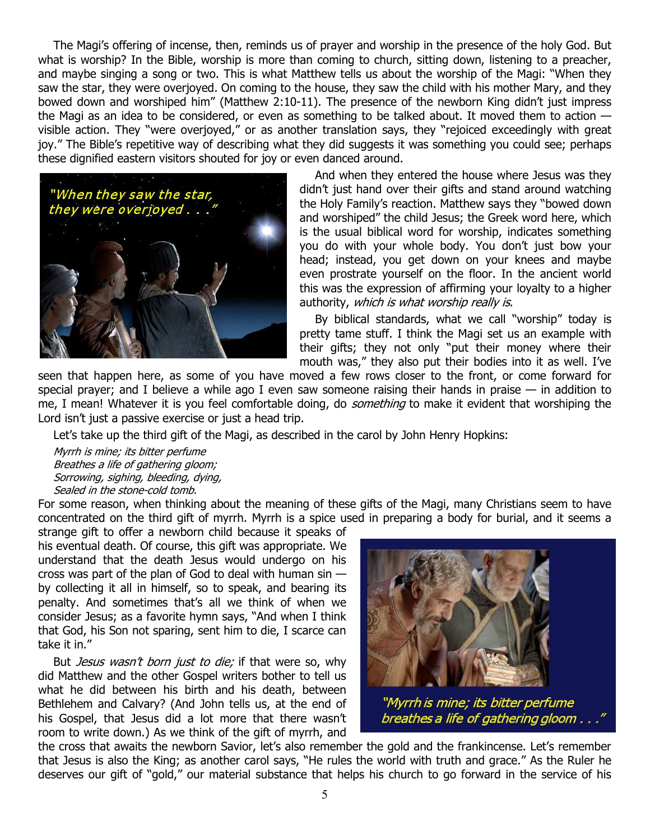The Magi's offering of incense, then, reminds us of prayer and worship in the presence of the holy God. But what is worship? In the Bible, worship is more than coming to church, sitting down, listening to a preacher, and maybe singing a song or two. This is what Matthew tells us about the worship of the Magi: "When they saw the star, they were overjoyed. On coming to the house, they saw the child with his mother Mary, and they bowed down and worshiped him" (Matthew 2:10-11). The presence of the newborn King didn't just impress the Magi as an idea to be considered, or even as something to be talked about. It moved them to action visible action. They "were overjoyed," or as another translation says, they "rejoiced exceedingly with great joy." The Bible's repetitive way of describing what they did suggests it was something you could see; perhaps these dignified eastern visitors shouted for joy or even danced around.



And when they entered the house where Jesus was they didn't just hand over their gifts and stand around watching the Holy Family's reaction. Matthew says they "bowed down and worshiped" the child Jesus; the Greek word here, which is the usual biblical word for worship, indicates something you do with your whole body. You don't just bow your head; instead, you get down on your knees and maybe even prostrate yourself on the floor. In the ancient world this was the expression of affirming your loyalty to a higher authority, which is what worship really is.

By biblical standards, what we call "worship" today is pretty tame stuff. I think the Magi set us an example with their gifts; they not only "put their money where their mouth was," they also put their bodies into it as well. I've

seen that happen here, as some of you have moved a few rows closer to the front, or come forward for special prayer; and I believe a while ago I even saw someone raising their hands in praise — in addition to me, I mean! Whatever it is you feel comfortable doing, do *something* to make it evident that worshiping the Lord isn't just a passive exercise or just a head trip.

Let's take up the third gift of the Magi, as described in the carol by John Henry Hopkins:

Myrrh is mine; its bitter perfume Breathes a life of gathering gloom; Sorrowing, sighing, bleeding, dying, Sealed in the stone-cold tomb.

For some reason, when thinking about the meaning of these gifts of the Magi, many Christians seem to have concentrated on the third gift of myrrh. Myrrh is a spice used in preparing a body for burial, and it seems a

strange gift to offer a newborn child because it speaks of his eventual death. Of course, this gift was appropriate. We understand that the death Jesus would undergo on his cross was part of the plan of God to deal with human sin by collecting it all in himself, so to speak, and bearing its penalty. And sometimes that's all we think of when we consider Jesus; as a favorite hymn says, "And when I think that God, his Son not sparing, sent him to die, I scarce can take it in."

But *Jesus wasn't born just to die;* if that were so, why did Matthew and the other Gospel writers bother to tell us what he did between his birth and his death, between Bethlehem and Calvary? (And John tells us, at the end of his Gospel, that Jesus did a lot more that there wasn't room to write down.) As we think of the gift of myrrh, and



the cross that awaits the newborn Savior, let's also remember the gold and the frankincense. Let's remember that Jesus is also the King; as another carol says, "He rules the world with truth and grace." As the Ruler he deserves our gift of "gold," our material substance that helps his church to go forward in the service of his